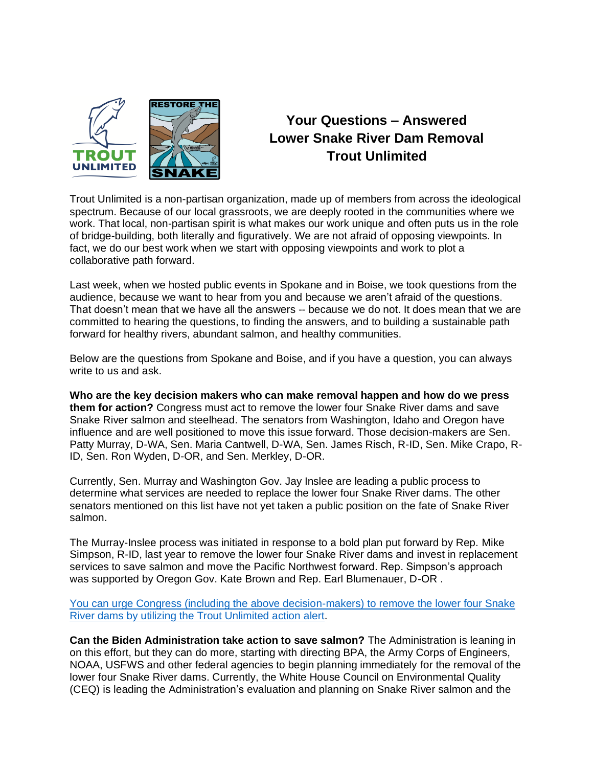

## **Your Questions – Answered Lower Snake River Dam Removal Trout Unlimited**

Trout Unlimited is a non-partisan organization, made up of members from across the ideological spectrum. Because of our local grassroots, we are deeply rooted in the communities where we work. That local, non-partisan spirit is what makes our work unique and often puts us in the role of bridge-building, both literally and figuratively. We are not afraid of opposing viewpoints. In fact, we do our best work when we start with opposing viewpoints and work to plot a collaborative path forward.

Last week, when we hosted public events in Spokane and in Boise, we took questions from the audience, because we want to hear from you and because we aren't afraid of the questions. That doesn't mean that we have all the answers -- because we do not. It does mean that we are committed to hearing the questions, to finding the answers, and to building a sustainable path forward for healthy rivers, abundant salmon, and healthy communities.

Below are the questions from Spokane and Boise, and if you have a question, you can always write to us and ask.

**Who are the key decision makers who can make removal happen and how do we press them for action?** Congress must act to remove the lower four Snake River dams and save Snake River salmon and steelhead. The senators from Washington, Idaho and Oregon have influence and are well positioned to move this issue forward. Those decision-makers are Sen. Patty Murray, D-WA, Sen. Maria Cantwell, D-WA, Sen. James Risch, R-ID, Sen. Mike Crapo, R-ID, Sen. Ron Wyden, D-OR, and Sen. Merkley, D-OR.

Currently, Sen. Murray and Washington Gov. Jay Inslee are leading a public process to determine what services are needed to replace the lower four Snake River dams. The other senators mentioned on this list have not yet taken a public position on the fate of Snake River salmon.

The Murray-Inslee process was initiated in response to a bold plan put forward by Rep. Mike Simpson, R-ID, last year to remove the lower four Snake River dams and invest in replacement services to save salmon and move the Pacific Northwest forward. Rep. Simpson's approach was supported by Oregon Gov. Kate Brown and Rep. Earl Blumenauer, D-OR .

[You can urge Congress \(including the above decision-makers\) to remove the lower four Snake](https://www.tu.org/conservation/action-center/?vvsrc=%2fcampaigns%2f88266%2frespond)  [River dams by utilizing the Trout Unlimited action alert.](https://www.tu.org/conservation/action-center/?vvsrc=%2fcampaigns%2f88266%2frespond)

**Can the Biden Administration take action to save salmon?** The Administration is leaning in on this effort, but they can do more, starting with directing BPA, the Army Corps of Engineers, NOAA, USFWS and other federal agencies to begin planning immediately for the removal of the lower four Snake River dams. Currently, the White House Council on Environmental Quality (CEQ) is leading the Administration's evaluation and planning on Snake River salmon and the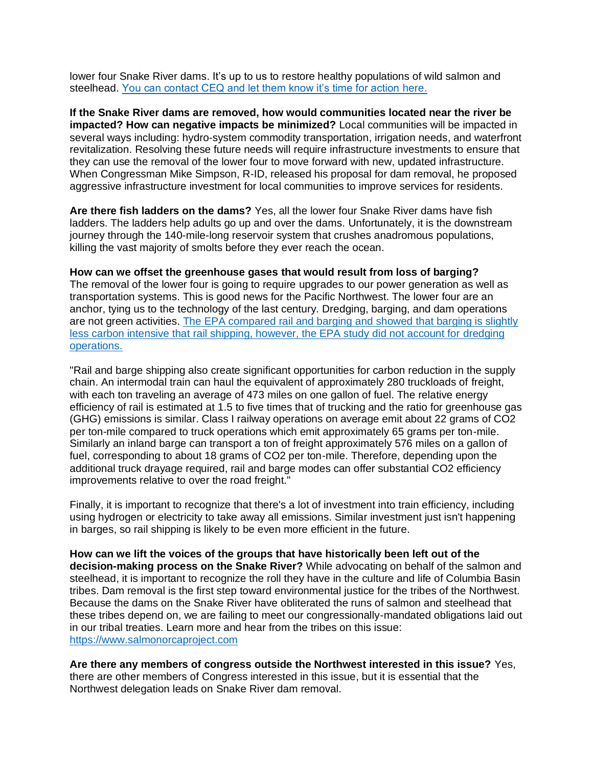lower four Snake River dams. It's up to us to restore healthy populations of wild salmon and steelhead. [You can contact CEQ and let them know it's time for action](https://www.tu.org/conservation/action-center/?vvsrc=%2fcampaigns%2f92527%2frespond) here.

**If the Snake River dams are removed, how would communities located near the river be impacted? How can negative impacts be minimized?** Local communities will be impacted in several ways including: hydro-system commodity transportation, irrigation needs, and waterfront revitalization. Resolving these future needs will require infrastructure investments to ensure that they can use the removal of the lower four to move forward with new, updated infrastructure. When Congressman Mike Simpson, R-ID, released his proposal for dam removal, he proposed aggressive infrastructure investment for local communities to improve services for residents.

**Are there fish ladders on the dams?** Yes, all the lower four Snake River dams have fish ladders. The ladders help adults go up and over the dams. Unfortunately, it is the downstream journey through the 140-mile-long reservoir system that crushes anadromous populations, killing the vast majority of smolts before they ever reach the ocean.

**How can we offset the greenhouse gases that would result from loss of barging?**  The removal of the lower four is going to require upgrades to our power generation as well as transportation systems. This is good news for the Pacific Northwest. The lower four are an anchor, tying us to the technology of the last century. Dredging, barging, and dam operations are not green activities. [The EPA compared rail and barging and showed that barging is slightly](https://nepis.epa.gov/Exe/ZyNET.exe/P100X04Q.TXT?ZyActionD=ZyDocument&Client=EPA&Index=2016+Thru+2020&Docs=&Query=&Time=&EndTime=&SearchMethod=1&TocRestrict=n&Toc=&TocEntry=&QField=&QFieldYear=&QFieldMonth=&QFieldDay=&IntQFieldOp=0&ExtQFieldOp=0&XmlQuery=&File=D%3A%5Czyfiles%5CIndex%20Data%5C16thru20%5CTxt%5C00000013%5CP100X04Q.txt&User=ANONYMOUS&Password=anonymous&SortMethod=h%7C-&MaximumDocuments=1&FuzzyDegree=0&ImageQuality=r75g8/r75g8/x150y150g16/i425&Display=hpfr&DefSeekPage=x&SearchBack=ZyActionL&Back=ZyActionS&BackDesc=Results%20page&MaximumPages=1&ZyEntry=1&SeekPage=x&ZyPURL)  [less carbon intensive that rail shipping, however, the EPA study did not account for dredging](https://nepis.epa.gov/Exe/ZyNET.exe/P100X04Q.TXT?ZyActionD=ZyDocument&Client=EPA&Index=2016+Thru+2020&Docs=&Query=&Time=&EndTime=&SearchMethod=1&TocRestrict=n&Toc=&TocEntry=&QField=&QFieldYear=&QFieldMonth=&QFieldDay=&IntQFieldOp=0&ExtQFieldOp=0&XmlQuery=&File=D%3A%5Czyfiles%5CIndex%20Data%5C16thru20%5CTxt%5C00000013%5CP100X04Q.txt&User=ANONYMOUS&Password=anonymous&SortMethod=h%7C-&MaximumDocuments=1&FuzzyDegree=0&ImageQuality=r75g8/r75g8/x150y150g16/i425&Display=hpfr&DefSeekPage=x&SearchBack=ZyActionL&Back=ZyActionS&BackDesc=Results%20page&MaximumPages=1&ZyEntry=1&SeekPage=x&ZyPURL)  [operations.](https://nepis.epa.gov/Exe/ZyNET.exe/P100X04Q.TXT?ZyActionD=ZyDocument&Client=EPA&Index=2016+Thru+2020&Docs=&Query=&Time=&EndTime=&SearchMethod=1&TocRestrict=n&Toc=&TocEntry=&QField=&QFieldYear=&QFieldMonth=&QFieldDay=&IntQFieldOp=0&ExtQFieldOp=0&XmlQuery=&File=D%3A%5Czyfiles%5CIndex%20Data%5C16thru20%5CTxt%5C00000013%5CP100X04Q.txt&User=ANONYMOUS&Password=anonymous&SortMethod=h%7C-&MaximumDocuments=1&FuzzyDegree=0&ImageQuality=r75g8/r75g8/x150y150g16/i425&Display=hpfr&DefSeekPage=x&SearchBack=ZyActionL&Back=ZyActionS&BackDesc=Results%20page&MaximumPages=1&ZyEntry=1&SeekPage=x&ZyPURL)

"Rail and barge shipping also create significant opportunities for carbon reduction in the supply chain. An intermodal train can haul the equivalent of approximately 280 truckloads of freight, with each ton traveling an average of 473 miles on one gallon of fuel. The relative energy efficiency of rail is estimated at 1.5 to five times that of trucking and the ratio for greenhouse gas (GHG) emissions is similar. Class I railway operations on average emit about 22 grams of CO2 per ton-mile compared to truck operations which emit approximately 65 grams per ton-mile. Similarly an inland barge can transport a ton of freight approximately 576 miles on a gallon of fuel, corresponding to about 18 grams of CO2 per ton-mile. Therefore, depending upon the additional truck drayage required, rail and barge modes can offer substantial CO2 efficiency improvements relative to over the road freight."

Finally, it is important to recognize that there's a lot of investment into train efficiency, including using hydrogen or electricity to take away all emissions. Similar investment just isn't happening in barges, so rail shipping is likely to be even more efficient in the future.

**How can we lift the voices of the groups that have historically been left out of the decision-making process on the Snake River?** While advocating on behalf of the salmon and steelhead, it is important to recognize the roll they have in the culture and life of Columbia Basin tribes. Dam removal is the first step toward environmental justice for the tribes of the Northwest. Because the dams on the Snake River have obliterated the runs of salmon and steelhead that these tribes depend on, we are failing to meet our congressionally-mandated obligations laid out in our tribal treaties. Learn more and hear from the tribes on this issue: [https://www.salmonorcaproject.com](https://www.salmonorcaproject.com/)

**Are there any members of congress outside the Northwest interested in this issue?** Yes, there are other members of Congress interested in this issue, but it is essential that the Northwest delegation leads on Snake River dam removal.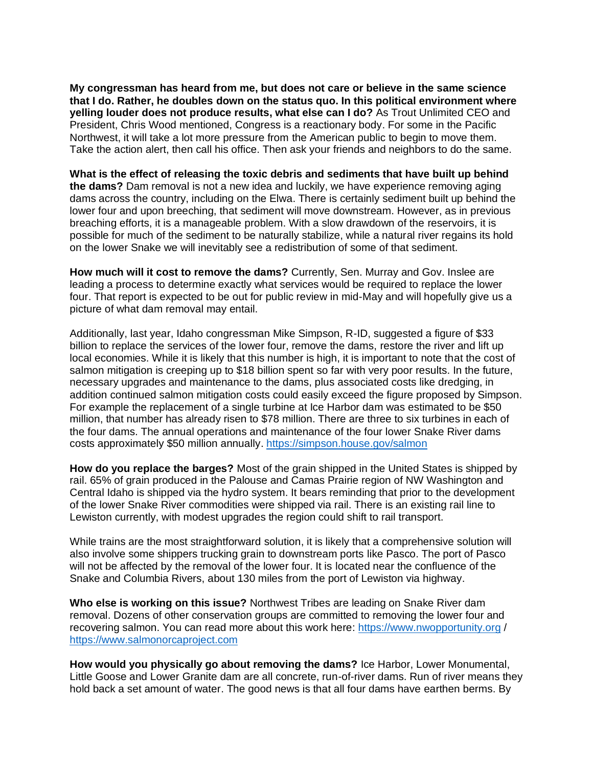**My congressman has heard from me, but does not care or believe in the same science that I do. Rather, he doubles down on the status quo. In this political environment where yelling louder does not produce results, what else can I do?** As Trout Unlimited CEO and President, Chris Wood mentioned, Congress is a reactionary body. For some in the Pacific Northwest, it will take a lot more pressure from the American public to begin to move them. Take the action alert, then call his office. Then ask your friends and neighbors to do the same.

**What is the effect of releasing the toxic debris and sediments that have built up behind the dams?** Dam removal is not a new idea and luckily, we have experience removing aging dams across the country, including on the Elwa. There is certainly sediment built up behind the lower four and upon breeching, that sediment will move downstream. However, as in previous breaching efforts, it is a manageable problem. With a slow drawdown of the reservoirs, it is possible for much of the sediment to be naturally stabilize, while a natural river regains its hold on the lower Snake we will inevitably see a redistribution of some of that sediment.

**How much will it cost to remove the dams?** Currently, Sen. Murray and Gov. Inslee are leading a process to determine exactly what services would be required to replace the lower four. That report is expected to be out for public review in mid-May and will hopefully give us a picture of what dam removal may entail.

Additionally, last year, Idaho congressman Mike Simpson, R-ID, suggested a figure of \$33 billion to replace the services of the lower four, remove the dams, restore the river and lift up local economies. While it is likely that this number is high, it is important to note that the cost of salmon mitigation is creeping up to \$18 billion spent so far with very poor results. In the future, necessary upgrades and maintenance to the dams, plus associated costs like dredging, in addition continued salmon mitigation costs could easily exceed the figure proposed by Simpson. For example the replacement of a single turbine at Ice Harbor dam was estimated to be \$50 million, that number has already risen to \$78 million. There are three to six turbines in each of the four dams. The annual operations and maintenance of the four lower Snake River dams costs approximately \$50 million annually.<https://simpson.house.gov/salmon>

**How do you replace the barges?** Most of the grain shipped in the United States is shipped by rail. 65% of grain produced in the Palouse and Camas Prairie region of NW Washington and Central Idaho is shipped via the hydro system. It bears reminding that prior to the development of the lower Snake River commodities were shipped via rail. There is an existing rail line to Lewiston currently, with modest upgrades the region could shift to rail transport.

While trains are the most straightforward solution, it is likely that a comprehensive solution will also involve some shippers trucking grain to downstream ports like Pasco. The port of Pasco will not be affected by the removal of the lower four. It is located near the confluence of the Snake and Columbia Rivers, about 130 miles from the port of Lewiston via highway.

**Who else is working on this issue?** Northwest Tribes are leading on Snake River dam removal. Dozens of other conservation groups are committed to removing the lower four and recovering salmon. You can read more about this work here: [https://www.nwopportunity.org](https://www.nwopportunity.org/) / [https://www.salmonorcaproject.com](https://www.salmonorcaproject.com/)

**How would you physically go about removing the dams?** Ice Harbor, Lower Monumental, Little Goose and Lower Granite dam are all concrete, run-of-river dams. Run of river means they hold back a set amount of water. The good news is that all four dams have earthen berms. By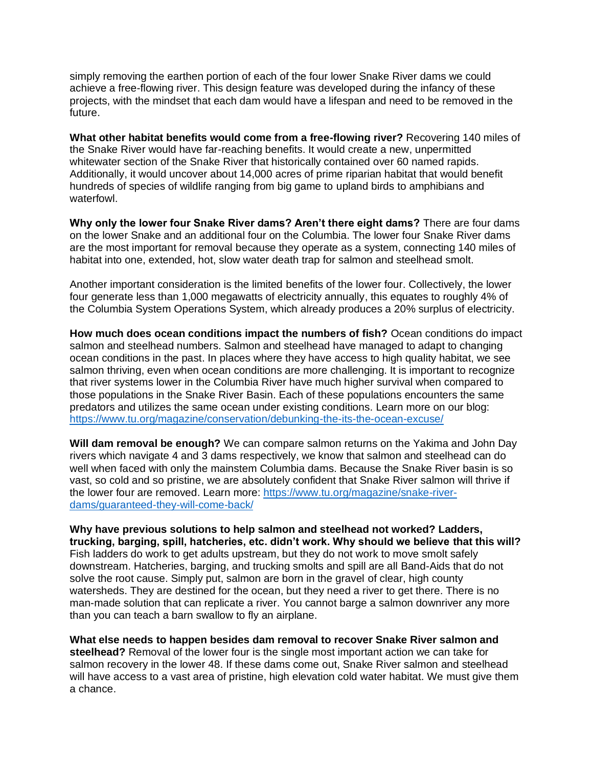simply removing the earthen portion of each of the four lower Snake River dams we could achieve a free-flowing river. This design feature was developed during the infancy of these projects, with the mindset that each dam would have a lifespan and need to be removed in the future.

**What other habitat benefits would come from a free-flowing river?** Recovering 140 miles of the Snake River would have far-reaching benefits. It would create a new, unpermitted whitewater section of the Snake River that historically contained over 60 named rapids. Additionally, it would uncover about 14,000 acres of prime riparian habitat that would benefit hundreds of species of wildlife ranging from big game to upland birds to amphibians and waterfowl.

**Why only the lower four Snake River dams? Aren't there eight dams?** There are four dams on the lower Snake and an additional four on the Columbia. The lower four Snake River dams are the most important for removal because they operate as a system, connecting 140 miles of habitat into one, extended, hot, slow water death trap for salmon and steelhead smolt.

Another important consideration is the limited benefits of the lower four. Collectively, the lower four generate less than 1,000 megawatts of electricity annually, this equates to roughly 4% of the Columbia System Operations System, which already produces a 20% surplus of electricity.

**How much does ocean conditions impact the numbers of fish?** Ocean conditions do impact salmon and steelhead numbers. Salmon and steelhead have managed to adapt to changing ocean conditions in the past. In places where they have access to high quality habitat, we see salmon thriving, even when ocean conditions are more challenging. It is important to recognize that river systems lower in the Columbia River have much higher survival when compared to those populations in the Snake River Basin. Each of these populations encounters the same predators and utilizes the same ocean under existing conditions. Learn more on our blog: <https://www.tu.org/magazine/conservation/debunking-the-its-the-ocean-excuse/>

**Will dam removal be enough?** We can compare salmon returns on the Yakima and John Day rivers which navigate 4 and 3 dams respectively, we know that salmon and steelhead can do well when faced with only the mainstem Columbia dams. Because the Snake River basin is so vast, so cold and so pristine, we are absolutely confident that Snake River salmon will thrive if the lower four are removed. Learn more: [https://www.tu.org/magazine/snake-river](https://www.tu.org/magazine/snake-river-dams/guaranteed-they-will-come-back/)[dams/guaranteed-they-will-come-back/](https://www.tu.org/magazine/snake-river-dams/guaranteed-they-will-come-back/)

**Why have previous solutions to help salmon and steelhead not worked? Ladders, trucking, barging, spill, hatcheries, etc. didn't work. Why should we believe that this will?** Fish ladders do work to get adults upstream, but they do not work to move smolt safely downstream. Hatcheries, barging, and trucking smolts and spill are all Band-Aids that do not solve the root cause. Simply put, salmon are born in the gravel of clear, high county watersheds. They are destined for the ocean, but they need a river to get there. There is no man-made solution that can replicate a river. You cannot barge a salmon downriver any more than you can teach a barn swallow to fly an airplane.

**What else needs to happen besides dam removal to recover Snake River salmon and steelhead?** Removal of the lower four is the single most important action we can take for salmon recovery in the lower 48. If these dams come out, Snake River salmon and steelhead will have access to a vast area of pristine, high elevation cold water habitat. We must give them a chance.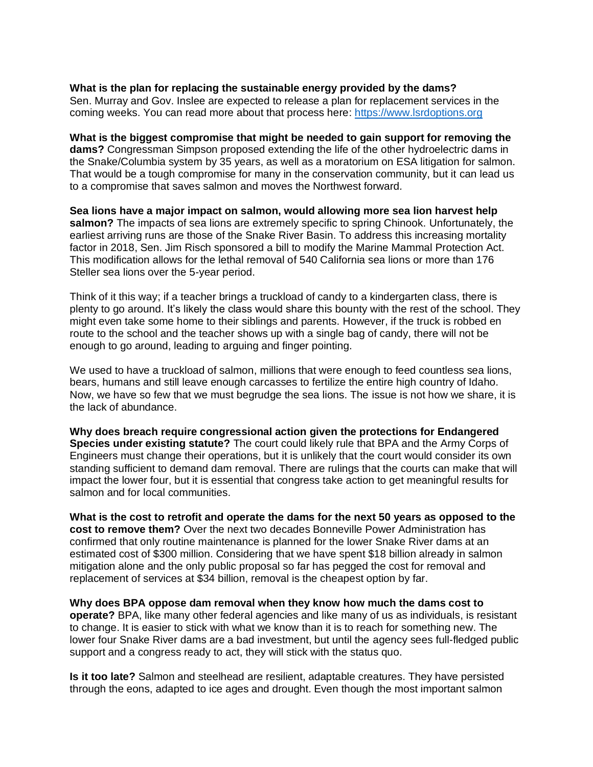## **What is the plan for replacing the sustainable energy provided by the dams?**

Sen. Murray and Gov. Inslee are expected to release a plan for replacement services in the coming weeks. You can read more about that process here: [https://www.lsrdoptions.org](https://www.lsrdoptions.org/)

**What is the biggest compromise that might be needed to gain support for removing the dams?** Congressman Simpson proposed extending the life of the other hydroelectric dams in the Snake/Columbia system by 35 years, as well as a moratorium on ESA litigation for salmon. That would be a tough compromise for many in the conservation community, but it can lead us to a compromise that saves salmon and moves the Northwest forward*.* 

**Sea lions have a major impact on salmon, would allowing more sea lion harvest help salmon?** The impacts of sea lions are extremely specific to spring Chinook. Unfortunately, the earliest arriving runs are those of the Snake River Basin. To address this increasing mortality factor in 2018, Sen. Jim Risch sponsored a bill to modify the Marine Mammal Protection Act. This modification allows for the lethal removal of 540 California sea lions or more than 176 Steller sea lions over the 5-year period.

Think of it this way; if a teacher brings a truckload of candy to a kindergarten class, there is plenty to go around. It's likely the class would share this bounty with the rest of the school. They might even take some home to their siblings and parents. However, if the truck is robbed en route to the school and the teacher shows up with a single bag of candy, there will not be enough to go around, leading to arguing and finger pointing.

We used to have a truckload of salmon, millions that were enough to feed countless sea lions, bears, humans and still leave enough carcasses to fertilize the entire high country of Idaho. Now, we have so few that we must begrudge the sea lions. The issue is not how we share, it is the lack of abundance.

**Why does breach require congressional action given the protections for Endangered Species under existing statute?** The court could likely rule that BPA and the Army Corps of Engineers must change their operations, but it is unlikely that the court would consider its own standing sufficient to demand dam removal. There are rulings that the courts can make that will impact the lower four, but it is essential that congress take action to get meaningful results for salmon and for local communities.

**What is the cost to retrofit and operate the dams for the next 50 years as opposed to the cost to remove them?** Over the next two decades Bonneville Power Administration has confirmed that only routine maintenance is planned for the lower Snake River dams at an estimated cost of \$300 million. Considering that we have spent \$18 billion already in salmon mitigation alone and the only public proposal so far has pegged the cost for removal and replacement of services at \$34 billion, removal is the cheapest option by far.

**Why does BPA oppose dam removal when they know how much the dams cost to operate?** BPA, like many other federal agencies and like many of us as individuals, is resistant to change. It is easier to stick with what we know than it is to reach for something new. The lower four Snake River dams are a bad investment, but until the agency sees full-fledged public support and a congress ready to act, they will stick with the status quo.

**Is it too late?** Salmon and steelhead are resilient, adaptable creatures. They have persisted through the eons, adapted to ice ages and drought. Even though the most important salmon